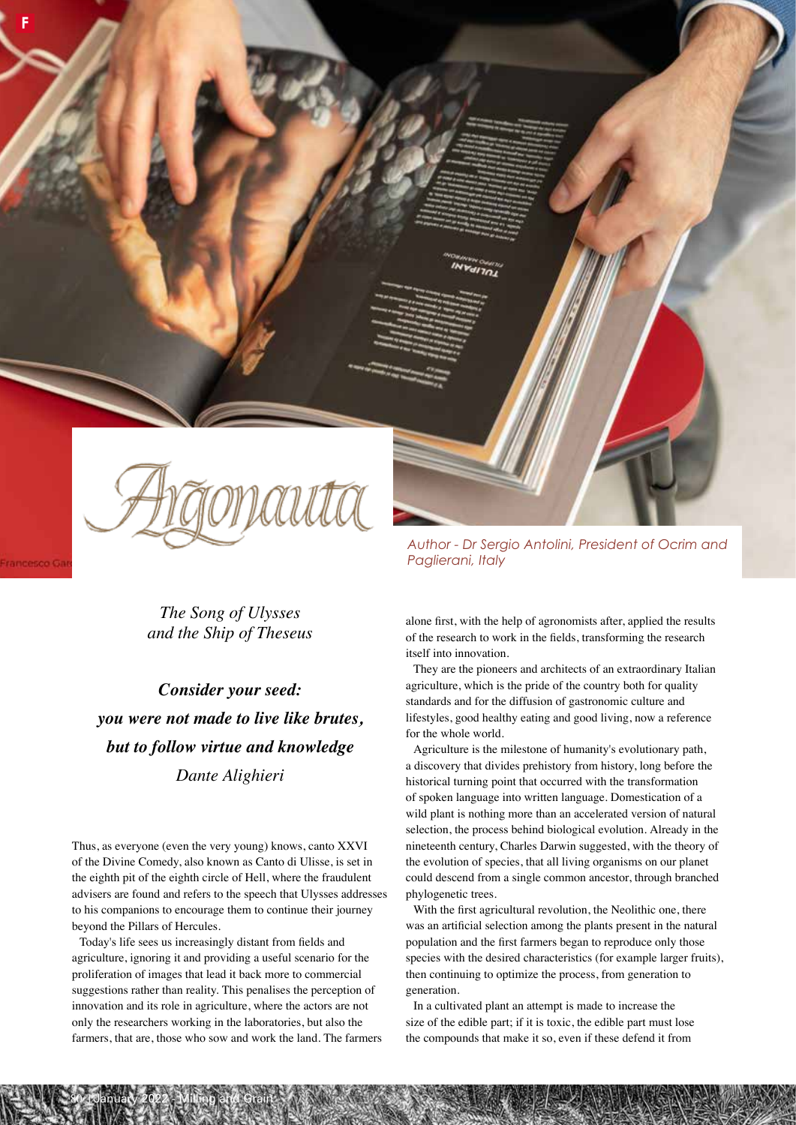

**F**

trancesco (

*The Song of Ulysses and the Ship of Theseus*

*Consider your seed: you were not made to live like brutes, but to follow virtue and knowledge Dante Alighieri*

Thus, as everyone (even the very young) knows, canto XXVI of the Divine Comedy, also known as Canto di Ulisse, is set in the eighth pit of the eighth circle of Hell, where the fraudulent advisers are found and refers to the speech that Ulysses addresses to his companions to encourage them to continue their journey beyond the Pillars of Hercules.

Today's life sees us increasingly distant from fields and agriculture, ignoring it and providing a useful scenario for the proliferation of images that lead it back more to commercial suggestions rather than reality. This penalises the perception of innovation and its role in agriculture, where the actors are not only the researchers working in the laboratories, but also the farmers, that are, those who sow and work the land. The farmers

80 | January 2022 - Milling and Grain

*Author - Dr Sergio Antolini, President of Ocrim and Paglierani, Italy*

alone first, with the help of agronomists after, applied the results of the research to work in the fields, transforming the research itself into innovation.

They are the pioneers and architects of an extraordinary Italian agriculture, which is the pride of the country both for quality standards and for the diffusion of gastronomic culture and lifestyles, good healthy eating and good living, now a reference for the whole world.

Agriculture is the milestone of humanity's evolutionary path, a discovery that divides prehistory from history, long before the historical turning point that occurred with the transformation of spoken language into written language. Domestication of a wild plant is nothing more than an accelerated version of natural selection, the process behind biological evolution. Already in the nineteenth century, Charles Darwin suggested, with the theory of the evolution of species, that all living organisms on our planet could descend from a single common ancestor, through branched phylogenetic trees.

With the first agricultural revolution, the Neolithic one, there was an artificial selection among the plants present in the natural population and the first farmers began to reproduce only those species with the desired characteristics (for example larger fruits), then continuing to optimize the process, from generation to generation.

In a cultivated plant an attempt is made to increase the size of the edible part; if it is toxic, the edible part must lose the compounds that make it so, even if these defend it from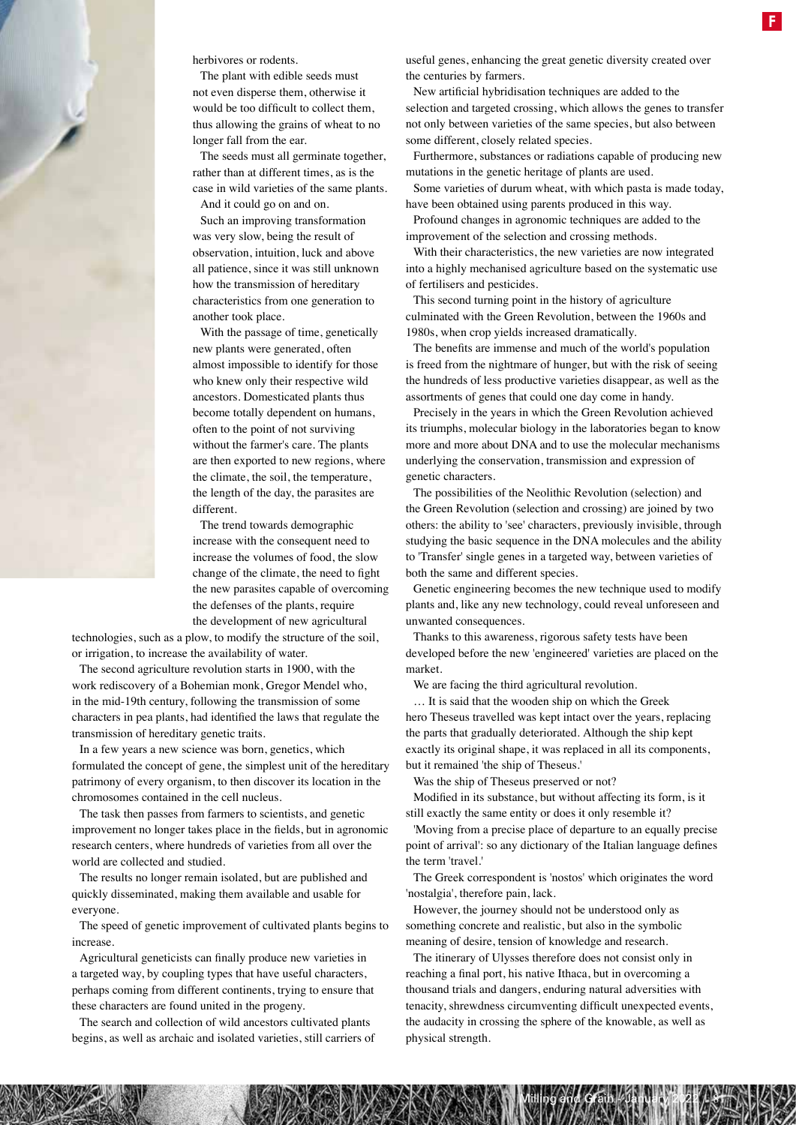

herbivores or rodents.

The plant with edible seeds must not even disperse them, otherwise it would be too difficult to collect them, thus allowing the grains of wheat to no longer fall from the ear.

The seeds must all germinate together, rather than at different times, as is the case in wild varieties of the same plants. And it could go on and on.

Such an improving transformation was very slow, being the result of observation, intuition, luck and above all patience, since it was still unknown how the transmission of hereditary characteristics from one generation to another took place.

With the passage of time, genetically new plants were generated, often almost impossible to identify for those who knew only their respective wild ancestors. Domesticated plants thus become totally dependent on humans, often to the point of not surviving without the farmer's care. The plants are then exported to new regions, where the climate, the soil, the temperature, the length of the day, the parasites are different.

The trend towards demographic increase with the consequent need to increase the volumes of food, the slow change of the climate, the need to fight the new parasites capable of overcoming the defenses of the plants, require the development of new agricultural

technologies, such as a plow, to modify the structure of the soil, or irrigation, to increase the availability of water.

The second agriculture revolution starts in 1900, with the work rediscovery of a Bohemian monk, Gregor Mendel who, in the mid-19th century, following the transmission of some characters in pea plants, had identified the laws that regulate the transmission of hereditary genetic traits.

In a few years a new science was born, genetics, which formulated the concept of gene, the simplest unit of the hereditary patrimony of every organism, to then discover its location in the chromosomes contained in the cell nucleus.

The task then passes from farmers to scientists, and genetic improvement no longer takes place in the fields, but in agronomic research centers, where hundreds of varieties from all over the world are collected and studied.

The results no longer remain isolated, but are published and quickly disseminated, making them available and usable for everyone.

The speed of genetic improvement of cultivated plants begins to increase.

Agricultural geneticists can finally produce new varieties in a targeted way, by coupling types that have useful characters, perhaps coming from different continents, trying to ensure that these characters are found united in the progeny.

The search and collection of wild ancestors cultivated plants begins, as well as archaic and isolated varieties, still carriers of useful genes, enhancing the great genetic diversity created over the centuries by farmers.

New artificial hybridisation techniques are added to the selection and targeted crossing, which allows the genes to transfer not only between varieties of the same species, but also between some different, closely related species.

Furthermore, substances or radiations capable of producing new mutations in the genetic heritage of plants are used.

Some varieties of durum wheat, with which pasta is made today, have been obtained using parents produced in this way.

Profound changes in agronomic techniques are added to the improvement of the selection and crossing methods.

With their characteristics, the new varieties are now integrated into a highly mechanised agriculture based on the systematic use of fertilisers and pesticides.

This second turning point in the history of agriculture culminated with the Green Revolution, between the 1960s and 1980s, when crop yields increased dramatically.

The benefits are immense and much of the world's population is freed from the nightmare of hunger, but with the risk of seeing the hundreds of less productive varieties disappear, as well as the assortments of genes that could one day come in handy.

Precisely in the years in which the Green Revolution achieved its triumphs, molecular biology in the laboratories began to know more and more about DNA and to use the molecular mechanisms underlying the conservation, transmission and expression of genetic characters.

The possibilities of the Neolithic Revolution (selection) and the Green Revolution (selection and crossing) are joined by two others: the ability to 'see' characters, previously invisible, through studying the basic sequence in the DNA molecules and the ability to 'Transfer' single genes in a targeted way, between varieties of both the same and different species.

Genetic engineering becomes the new technique used to modify plants and, like any new technology, could reveal unforeseen and unwanted consequences.

Thanks to this awareness, rigorous safety tests have been developed before the new 'engineered' varieties are placed on the market.

We are facing the third agricultural revolution.

… It is said that the wooden ship on which the Greek hero Theseus travelled was kept intact over the years, replacing the parts that gradually deteriorated. Although the ship kept exactly its original shape, it was replaced in all its components, but it remained 'the ship of Theseus.'

Was the ship of Theseus preserved or not?

Modified in its substance, but without affecting its form, is it still exactly the same entity or does it only resemble it?

'Moving from a precise place of departure to an equally precise point of arrival': so any dictionary of the Italian language defines the term 'travel.'

The Greek correspondent is 'nostos' which originates the word 'nostalgia', therefore pain, lack.

However, the journey should not be understood only as something concrete and realistic, but also in the symbolic meaning of desire, tension of knowledge and research.

The itinerary of Ulysses therefore does not consist only in reaching a final port, his native Ithaca, but in overcoming a thousand trials and dangers, enduring natural adversities with tenacity, shrewdness circumventing difficult unexpected events, the audacity in crossing the sphere of the knowable, as well as physical strength.

Milling and Grain - January 2022 / 81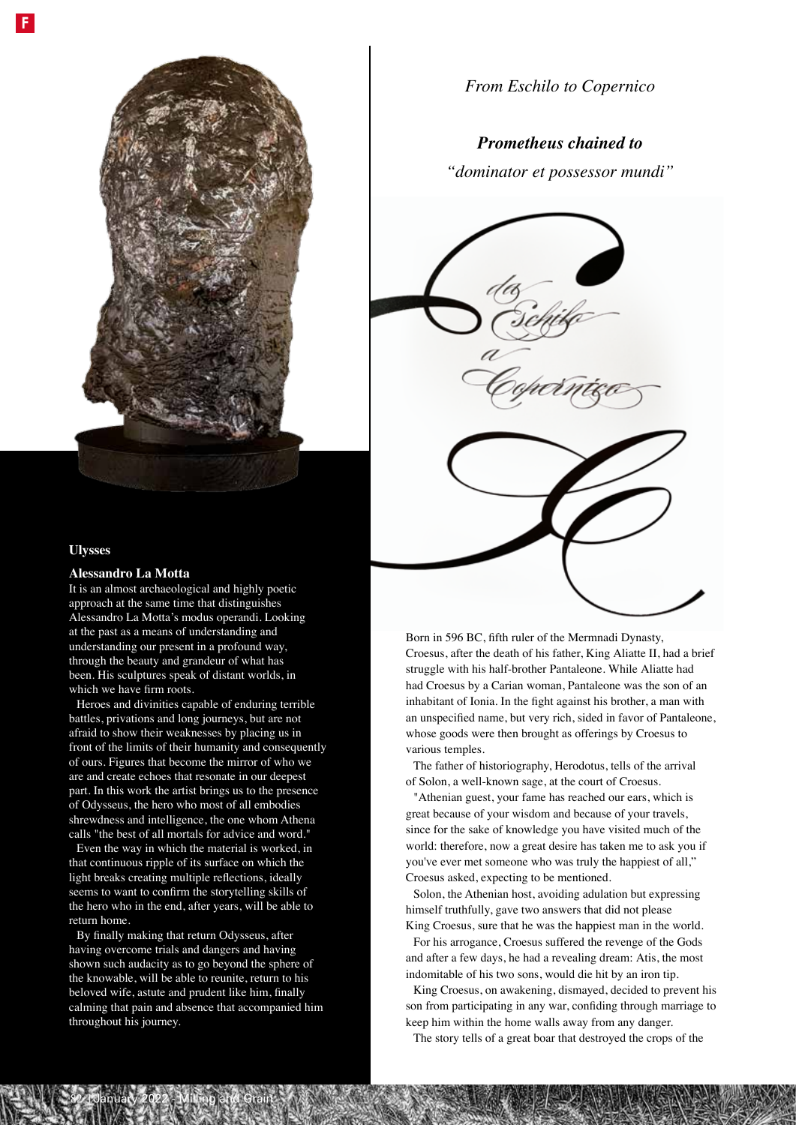

## **Ulysses**

### **Alessandro La Motta**

It is an almost archaeological and highly poetic approach at the same time that distinguishes Alessandro La Motta's modus operandi. Looking at the past as a means of understanding and understanding our present in a profound way, through the beauty and grandeur of what has been. His sculptures speak of distant worlds, in which we have firm roots.

Heroes and divinities capable of enduring terrible battles, privations and long journeys, but are not afraid to show their weaknesses by placing us in front of the limits of their humanity and consequently of ours. Figures that become the mirror of who we are and create echoes that resonate in our deepest part. In this work the artist brings us to the presence of Odysseus, the hero who most of all embodies shrewdness and intelligence, the one whom Athena calls "the best of all mortals for advice and word."

Even the way in which the material is worked, in that continuous ripple of its surface on which the light breaks creating multiple reflections, ideally seems to want to confirm the storytelling skills of the hero who in the end, after years, will be able to return home.

By finally making that return Odysseus, after having overcome trials and dangers and having shown such audacity as to go beyond the sphere of the knowable, will be able to reunite, return to his beloved wife, astute and prudent like him, finally calming that pain and absence that accompanied him throughout his journey.

82 | January 2022 - Milling and Grain

*From Eschilo to Copernico*

# *Prometheus chained to*

*"dominator et possessor mundi"*



Born in 596 BC, fifth ruler of the Mermnadi Dynasty, Croesus, after the death of his father, King Aliatte II, had a brief struggle with his half-brother Pantaleone. While Aliatte had had Croesus by a Carian woman, Pantaleone was the son of an inhabitant of Ionia. In the fight against his brother, a man with an unspecified name, but very rich, sided in favor of Pantaleone, whose goods were then brought as offerings by Croesus to various temples.

The father of historiography, Herodotus, tells of the arrival of Solon, a well-known sage, at the court of Croesus.

"Athenian guest, your fame has reached our ears, which is great because of your wisdom and because of your travels, since for the sake of knowledge you have visited much of the world: therefore, now a great desire has taken me to ask you if you've ever met someone who was truly the happiest of all," Croesus asked, expecting to be mentioned.

Solon, the Athenian host, avoiding adulation but expressing himself truthfully, gave two answers that did not please King Croesus, sure that he was the happiest man in the world.

For his arrogance, Croesus suffered the revenge of the Gods and after a few days, he had a revealing dream: Atis, the most indomitable of his two sons, would die hit by an iron tip.

King Croesus, on awakening, dismayed, decided to prevent his son from participating in any war, confiding through marriage to keep him within the home walls away from any danger.

The story tells of a great boar that destroyed the crops of the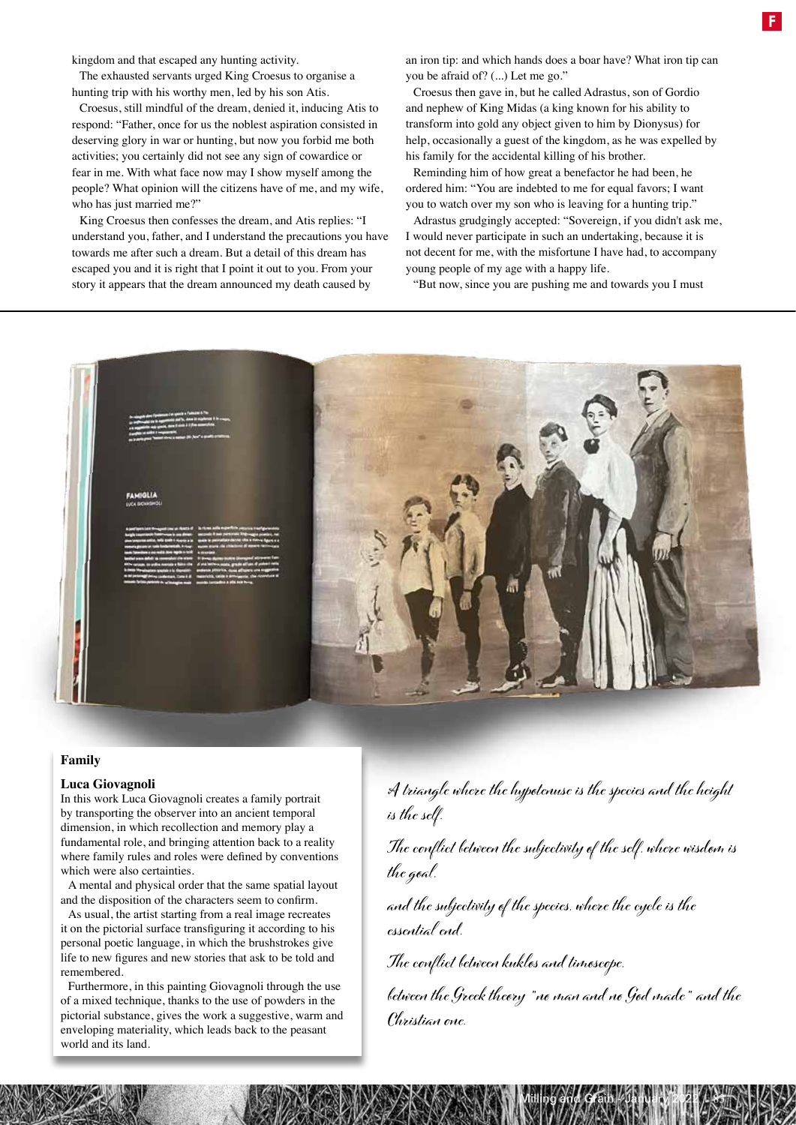kingdom and that escaped any hunting activity.

The exhausted servants urged King Croesus to organise a hunting trip with his worthy men, led by his son Atis.

Croesus, still mindful of the dream, denied it, inducing Atis to respond: "Father, once for us the noblest aspiration consisted in deserving glory in war or hunting, but now you forbid me both activities; you certainly did not see any sign of cowardice or fear in me. With what face now may I show myself among the people? What opinion will the citizens have of me, and my wife, who has just married me?"

King Croesus then confesses the dream, and Atis replies: "I understand you, father, and I understand the precautions you have towards me after such a dream. But a detail of this dream has escaped you and it is right that I point it out to you. From your story it appears that the dream announced my death caused by

an iron tip: and which hands does a boar have? What iron tip can you be afraid of? (...) Let me go."

Croesus then gave in, but he called Adrastus, son of Gordio and nephew of King Midas (a king known for his ability to transform into gold any object given to him by Dionysus) for help, occasionally a guest of the kingdom, as he was expelled by his family for the accidental killing of his brother.

Reminding him of how great a benefactor he had been, he ordered him: "You are indebted to me for equal favors; I want you to watch over my son who is leaving for a hunting trip."

Adrastus grudgingly accepted: "Sovereign, if you didn't ask me, I would never participate in such an undertaking, because it is not decent for me, with the misfortune I have had, to accompany young people of my age with a happy life.

"But now, since you are pushing me and towards you I must



## **Family**

### **Luca Giovagnoli**

In this work Luca Giovagnoli creates a family portrait by transporting the observer into an ancient temporal dimension, in which recollection and memory play a fundamental role, and bringing attention back to a reality where family rules and roles were defined by conventions which were also certainties.

A mental and physical order that the same spatial layout and the disposition of the characters seem to confirm.

As usual, the artist starting from a real image recreates it on the pictorial surface transfiguring it according to his personal poetic language, in which the brushstrokes give life to new figures and new stories that ask to be told and remembered.

Furthermore, in this painting Giovagnoli through the use of a mixed technique, thanks to the use of powders in the pictorial substance, gives the work a suggestive, warm and enveloping materiality, which leads back to the peasant world and its land.

**A triangle where the hypotenuse is the species and the height is the self.**

**The conflict between the subjectivity of the self, where wisdom is the goal,** 

**and the subjectivity of the species, where the cycle is the essential end.**

**The conflict between kuklos and timoscope, between the Greek theory "no man and no God made" and the Christian one.**

Milling and Grain - January 2022 / 83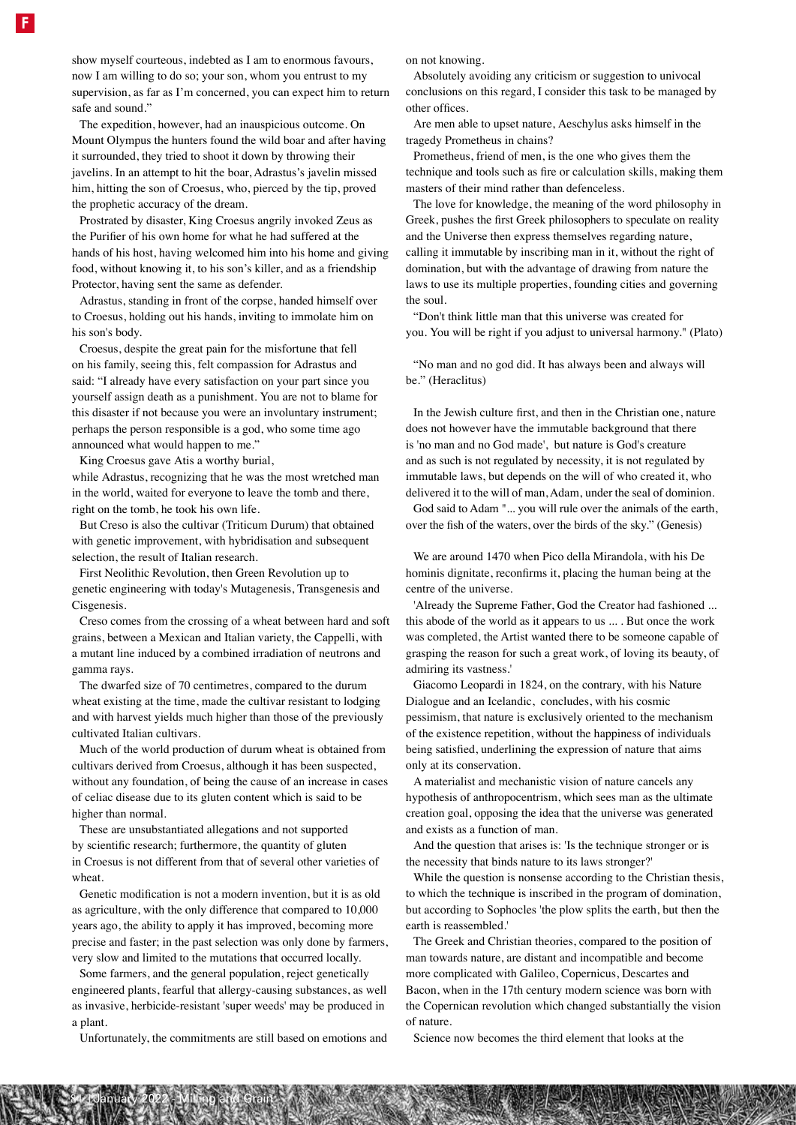show myself courteous, indebted as I am to enormous favours, now I am willing to do so; your son, whom you entrust to my supervision, as far as I'm concerned, you can expect him to return safe and sound."

The expedition, however, had an inauspicious outcome. On Mount Olympus the hunters found the wild boar and after having it surrounded, they tried to shoot it down by throwing their javelins. In an attempt to hit the boar, Adrastus's javelin missed him, hitting the son of Croesus, who, pierced by the tip, proved the prophetic accuracy of the dream.

Prostrated by disaster, King Croesus angrily invoked Zeus as the Purifier of his own home for what he had suffered at the hands of his host, having welcomed him into his home and giving food, without knowing it, to his son's killer, and as a friendship Protector, having sent the same as defender.

Adrastus, standing in front of the corpse, handed himself over to Croesus, holding out his hands, inviting to immolate him on his son's body.

Croesus, despite the great pain for the misfortune that fell on his family, seeing this, felt compassion for Adrastus and said: "I already have every satisfaction on your part since you yourself assign death as a punishment. You are not to blame for this disaster if not because you were an involuntary instrument; perhaps the person responsible is a god, who some time ago announced what would happen to me."

King Croesus gave Atis a worthy burial,

while Adrastus, recognizing that he was the most wretched man in the world, waited for everyone to leave the tomb and there, right on the tomb, he took his own life.

But Creso is also the cultivar (Triticum Durum) that obtained with genetic improvement, with hybridisation and subsequent selection, the result of Italian research.

First Neolithic Revolution, then Green Revolution up to genetic engineering with today's Mutagenesis, Transgenesis and Cisgenesis.

Creso comes from the crossing of a wheat between hard and soft grains, between a Mexican and Italian variety, the Cappelli, with a mutant line induced by a combined irradiation of neutrons and gamma rays.

The dwarfed size of 70 centimetres, compared to the durum wheat existing at the time, made the cultivar resistant to lodging and with harvest yields much higher than those of the previously cultivated Italian cultivars.

Much of the world production of durum wheat is obtained from cultivars derived from Croesus, although it has been suspected, without any foundation, of being the cause of an increase in cases of celiac disease due to its gluten content which is said to be higher than normal.

These are unsubstantiated allegations and not supported by scientific research; furthermore, the quantity of gluten in Croesus is not different from that of several other varieties of wheat.

Genetic modification is not a modern invention, but it is as old as agriculture, with the only difference that compared to 10,000 years ago, the ability to apply it has improved, becoming more precise and faster; in the past selection was only done by farmers, very slow and limited to the mutations that occurred locally.

Some farmers, and the general population, reject genetically engineered plants, fearful that allergy-causing substances, as well as invasive, herbicide-resistant 'super weeds' may be produced in a plant.

Unfortunately, the commitments are still based on emotions and

84 | January 2022 - Milling and Grain

on not knowing.

Absolutely avoiding any criticism or suggestion to univocal conclusions on this regard, I consider this task to be managed by other offices.

Are men able to upset nature, Aeschylus asks himself in the tragedy Prometheus in chains?

Prometheus, friend of men, is the one who gives them the technique and tools such as fire or calculation skills, making them masters of their mind rather than defenceless.

The love for knowledge, the meaning of the word philosophy in Greek, pushes the first Greek philosophers to speculate on reality and the Universe then express themselves regarding nature, calling it immutable by inscribing man in it, without the right of domination, but with the advantage of drawing from nature the laws to use its multiple properties, founding cities and governing the soul.

"Don't think little man that this universe was created for you. You will be right if you adjust to universal harmony." (Plato)

"No man and no god did. It has always been and always will be." (Heraclitus)

In the Jewish culture first, and then in the Christian one, nature does not however have the immutable background that there is 'no man and no God made', but nature is God's creature and as such is not regulated by necessity, it is not regulated by immutable laws, but depends on the will of who created it, who delivered it to the will of man, Adam, under the seal of dominion.

God said to Adam "... you will rule over the animals of the earth, over the fish of the waters, over the birds of the sky." (Genesis)

We are around 1470 when Pico della Mirandola, with his De hominis dignitate, reconfirms it, placing the human being at the centre of the universe.

'Already the Supreme Father, God the Creator had fashioned ... this abode of the world as it appears to us ... . But once the work was completed, the Artist wanted there to be someone capable of grasping the reason for such a great work, of loving its beauty, of admiring its vastness.'

Giacomo Leopardi in 1824, on the contrary, with his Nature Dialogue and an Icelandic, concludes, with his cosmic pessimism, that nature is exclusively oriented to the mechanism of the existence repetition, without the happiness of individuals being satisfied, underlining the expression of nature that aims only at its conservation.

A materialist and mechanistic vision of nature cancels any hypothesis of anthropocentrism, which sees man as the ultimate creation goal, opposing the idea that the universe was generated and exists as a function of man.

And the question that arises is: 'Is the technique stronger or is the necessity that binds nature to its laws stronger?'

While the question is nonsense according to the Christian thesis, to which the technique is inscribed in the program of domination, but according to Sophocles 'the plow splits the earth, but then the earth is reassembled.'

The Greek and Christian theories, compared to the position of man towards nature, are distant and incompatible and become more complicated with Galileo, Copernicus, Descartes and Bacon, when in the 17th century modern science was born with the Copernican revolution which changed substantially the vision of nature.

Science now becomes the third element that looks at the